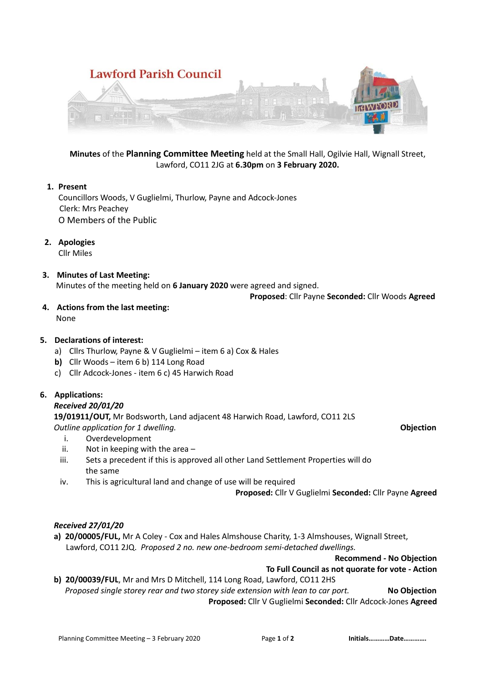

**Minutes** of the **Planning Committee Meeting** held at the Small Hall, Ogilvie Hall, Wignall Street, Lawford, CO11 2JG at **6.30pm** on **3 February 2020.**

### **1. Present**

Councillors Woods, V Guglielmi, Thurlow, Payne and Adcock-Jones Clerk: Mrs Peachey O Members of the Public

**2. Apologies**

Cllr Miles

**3. Minutes of Last Meeting:** Minutes of the meeting held on **6 January 2020** were agreed and signed.

 **Proposed**: Cllr Payne **Seconded:** Cllr Woods **Agreed**

**4. Actions from the last meeting:** None

## **5. Declarations of interest:**

- a) Cllrs Thurlow, Payne & V Guglielmi item 6 a) Cox & Hales
- **b)** Cllr Woods item 6 b) 114 Long Road
- c) Cllr Adcock-Jones item 6 c) 45 Harwich Road

## **6. Applications:**

#### *Received 20/01/20*

**19/01911/OUT,** Mr Bodsworth, Land adjacent 48 Harwich Road, Lawford, CO11 2LS

*Outline application for 1 dwelling.* **Objection**

## i. Overdevelopment

- ii. Not in keeping with the area –
- iii. Sets a precedent if this is approved all other Land Settlement Properties will do the same
- iv. This is agricultural land and change of use will be required

**Proposed:** Cllr V Guglielmi **Seconded:** Cllr Payne **Agreed**

#### *Received 27/01/20*

**a) 20/00005/FUL,** Mr A Coley - Cox and Hales Almshouse Charity, 1-3 Almshouses, Wignall Street, Lawford, CO11 2JQ. *Proposed 2 no. new one-bedroom semi-detached dwellings.*

#### **Recommend - No Objection**

# **To Full Council as not quorate for vote - Action b) 20/00039/FUL**, Mr and Mrs D Mitchell, 114 Long Road, Lawford, CO11 2HS *Proposed single storey rear and two storey side extension with lean to car port.* **No Objection**

**Proposed:** Cllr V Guglielmi **Seconded:** Cllr Adcock-Jones **Agreed**